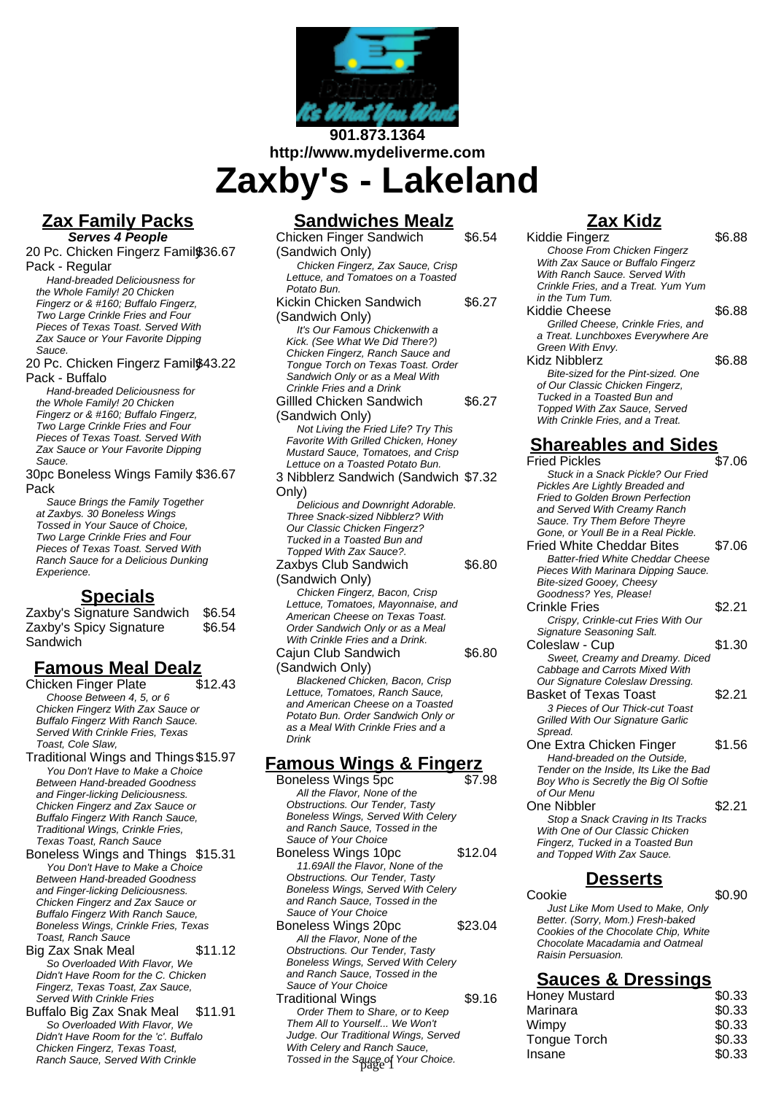

### **901.873.1364 http://www.mydeliverme.com**

**Zaxby's - Lakeland**

### **Zax Family Packs**

**Serves 4 People** 20 Pc. Chicken Fingerz Family \$36.67 Pack - Regular

Hand-breaded Deliciousness for the Whole Family! 20 Chicken Fingerz or & #160; Buffalo Fingerz, Two Large Crinkle Fries and Four Pieces of Texas Toast. Served With Zax Sauce or Your Favorite Dipping Sauce.

20 Pc. Chicken Fingerz Family \$43.22 Pack - Buffalo

Hand-breaded Deliciousness for the Whole Family! 20 Chicken Fingerz or & #160; Buffalo Fingerz, Two Large Crinkle Fries and Four Pieces of Texas Toast. Served With Zax Sauce or Your Favorite Dipping Sauce.

30pc Boneless Wings Family \$36.67 Pack

Sauce Brings the Family Together at Zaxbys. 30 Boneless Wings Tossed in Your Sauce of Choice, Two Large Crinkle Fries and Four Pieces of Texas Toast. Served With Ranch Sauce for a Delicious Dunking Experience.

### **Specials**

Zaxby's Signature Sandwich \$6.54 Zaxby's Spicy Signature Sandwich \$6.54

# **Famous Meal Dealz**

Chicken Finger Plate Choose Between 4, 5, or 6 Chicken Fingerz With Zax Sauce or Buffalo Fingerz With Ranch Sauce. Served With Crinkle Fries, Texas Toast, Cole Slaw,

Traditional Wings and Things \$15.97 You Don't Have to Make a Choice Between Hand-breaded Goodness and Finger-licking Deliciousness. Chicken Fingerz and Zax Sauce or Buffalo Fingerz With Ranch Sauce, Traditional Wings, Crinkle Fries, Texas Toast, Ranch Sauce

Boneless Wings and Things \$15.31 You Don't Have to Make a Choice Between Hand-breaded Goodness and Finger-licking Deliciousness. Chicken Fingerz and Zax Sauce or Buffalo Fingerz With Ranch Sauce, Boneless Wings, Crinkle Fries, Texas Toast, Ranch Sauce

Big Zax Snak Meal \$11.12 So Overloaded With Flavor, We Didn't Have Room for the C. Chicken Fingerz, Texas Toast, Zax Sauce, Served With Crinkle Fries

Buffalo Big Zax Snak Meal \$11.91 So Overloaded With Flavor, We Didn't Have Room for the 'c'. Buffalo Chicken Fingerz, Texas Toast, Ranch Sauce, Served With Crinkle

### **Sandwiches Mealz**

Chicken Finger Sandwich (Sandwich Only) \$6.54 Chicken Fingerz, Zax Sauce, Crisp Lettuce, and Tomatoes on a Toasted Potato Bun. Kickin Chicken Sandwich (Sandwich Only) \$6.27 It's Our Famous Chickenwith a Kick. (See What We Did There?) Chicken Fingerz, Ranch Sauce and Tongue Torch on Texas Toast. Order Sandwich Only or as a Meal With Crinkle Fries and a Drink Gillled Chicken Sandwich (Sandwich Only) \$6.27 Not Living the Fried Life? Try This Favorite With Grilled Chicken, Honey Mustard Sauce, Tomatoes, and Crisp Lettuce on a Toasted Potato Bun. 3 Nibblerz Sandwich (Sandwich \$7.32 Only) Delicious and Downright Adorable. Three Snack-sized Nibblerz? With Our Classic Chicken Fingerz? Tucked in a Toasted Bun and Topped With Zax Sauce?. Zaxbys Club Sandwich (Sandwich Only) \$6.80 Chicken Fingerz, Bacon, Crisp Lettuce, Tomatoes, Mayonnaise, and American Cheese on Texas Toast. Order Sandwich Only or as a Meal With Crinkle Fries and a Drink. Cajun Club Sandwich (Sandwich Only) \$6.80 Blackened Chicken, Bacon, Crisp Lettuce, Tomatoes, Ranch Sauce, and American Cheese on a Toasted Potato Bun. Order Sandwich Only or as a Meal With Crinkle Fries and a Drink **Famous Wings & Fingerz**

- Boneless Wings 5pc \$7.98 All the Flavor, None of the Obstructions. Our Tender, Tasty Boneless Wings, Served With Celery and Ranch Sauce, Tossed in the Sauce of Your Choice
- Boneless Wings 10pc \$12.04 11.69All the Flavor, None of the Obstructions. Our Tender, Tasty Boneless Wings, Served With Celery and Ranch Sauce, Tossed in the Sauce of Your Choice
- Boneless Wings 20pc \$23.04 All the Flavor, None of the Obstructions. Our Tender, Tasty Boneless Wings, Served With Celery and Ranch Sauce, Tossed in the Sauce of Your Choice
- Traditional Wings \$9.16 Order Them to Share, or to Keep Them All to Yourself... We Won't Judge. Our Traditional Wings, Served With Celery and Ranch Sauce, Tossed in the Sauce of Your Choice.

## **Zax Kidz**

| ZAX NIOZ                                                                                                                                                                                                                                  |        |
|-------------------------------------------------------------------------------------------------------------------------------------------------------------------------------------------------------------------------------------------|--------|
| Kiddie Fingerz<br><b>Choose From Chicken Fingerz</b><br>With Zax Sauce or Buffalo Fingerz<br>With Ranch Sauce. Served With<br>Crinkle Fries, and a Treat. Yum Yum<br>in the Tum Tum.                                                      | \$6.88 |
| Kiddie Cheese<br>Grilled Cheese, Crinkle Fries, and<br>a Treat. Lunchboxes Everywhere Are<br>Green With Envy.                                                                                                                             | \$6.88 |
| Kidz Nibblerz<br>Bite-sized for the Pint-sized. One<br>of Our Classic Chicken Fingerz,<br>Tucked in a Toasted Bun and<br>Topped With Zax Sauce, Served<br>With Crinkle Fries, and a Treat.                                                | \$6.88 |
| <u>Shareables and Sides</u>                                                                                                                                                                                                               |        |
| <b>Fried Pickles</b><br>Stuck in a Snack Pickle? Our Fried<br>Pickles Are Lightly Breaded and<br>Fried to Golden Brown Perfection<br>and Served With Creamy Ranch<br>Sauce. Try Them Before Theyre<br>Gone, or Youll Be in a Real Pickle. | \$7.06 |
| <b>Fried White Cheddar Bites</b><br><b>Batter-fried White Cheddar Cheese</b><br>Pieces With Marinara Dipping Sauce.<br>Bite-sized Gooey, Cheesy<br>Goodness? Yes, Please!                                                                 | \$7.06 |
| <b>Crinkle Fries</b><br>Crispy, Crinkle-cut Fries With Our<br>Signature Seasoning Salt.                                                                                                                                                   | \$2.21 |
| Coleslaw - Cup<br>Sweet, Creamy and Dreamy. Diced<br>Cabbage and Carrots Mixed With<br>Our Signature Coleslaw Dressing.                                                                                                                   | \$1.30 |
| <b>Basket of Texas Toast</b><br>3 Pieces of Our Thick-cut Toast<br>Grilled With Our Signature Garlic<br>Spread.                                                                                                                           | \$2.21 |
| One Extra Chicken Finger<br>Hand-breaded on the Outside,<br>Tender on the Inside, Its Like the Bad<br>Boy Who is Secretly the Big OI Softie<br>of Our Menu                                                                                | \$1.56 |
| One Nibbler<br>Stop a Snack Craving in Its Tracks<br>With One of Our Classic Chicken<br>Fingerz, Tucked in a Toasted Bun<br>and Topped With Zax Sauce.                                                                                    | \$2.21 |

### **Desserts**

 $\sim$   $\sim$   $\sim$  \$0.90 Just Like Mom Used to Make, Only Better. (Sorry, Mom.) Fresh-baked Cookies of the Chocolate Chip, White Chocolate Macadamia and Oatmeal Raisin Persuasion.

#### **Sauces & Dressings**

| Honey Mustard       | \$0.33 |
|---------------------|--------|
| Marinara            | \$0.33 |
| Wimpy               | \$0.33 |
| <b>Tongue Torch</b> | \$0.33 |
| Insane              | \$0.33 |